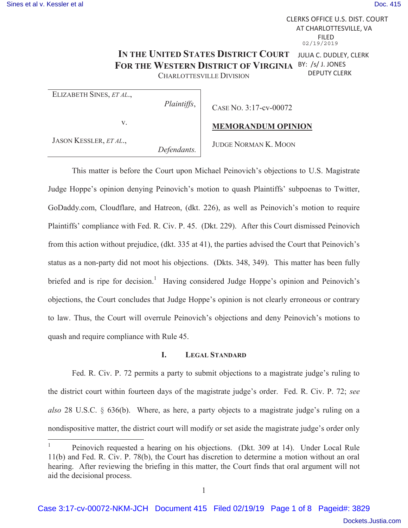$\overline{a}$ 

CLERKS OFFICE U.S. DIST. COURT AT CHARLOTTESVILLE, VA FILED 02/19/2019

#### IN THE UNITED STATES DISTRICT COURT JULIA C. DUDLEY, CLERK **FOR THE WESTERN DISTRICT OF VIRGINIA** BY: /s/ J. JONES DEPUTY CLERK

CHARLOTTESVILLE DIVISION

ELIZABETH SINES, *ET AL*.,

*Plaintiffs*,

v.

CASE NO. 3:17-cv-00072

**MEMORANDUM OPINION**

JASON KESSLER, *ET AL*.,

*Defendants.* 

JUDGE NORMAN K. MOON

This matter is before the Court upon Michael Peinovich's objections to U.S. Magistrate Judge Hoppe's opinion denying Peinovich's motion to quash Plaintiffs' subpoenas to Twitter, GoDaddy.com, Cloudflare, and Hatreon, (dkt. 226), as well as Peinovich's motion to require Plaintiffs' compliance with Fed. R. Civ. P. 45. (Dkt. 229). After this Court dismissed Peinovich from this action without prejudice, (dkt. 335 at 41), the parties advised the Court that Peinovich's status as a non-party did not moot his objections. (Dkts. 348, 349). This matter has been fully briefed and is ripe for decision.<sup>1</sup> Having considered Judge Hoppe's opinion and Peinovich's objections, the Court concludes that Judge Hoppe's opinion is not clearly erroneous or contrary to law. Thus, the Court will overrule Peinovich's objections and deny Peinovich's motions to quash and require compliance with Rule 45.

### **I. LEGAL STANDARD**

Fed. R. Civ. P. 72 permits a party to submit objections to a magistrate judge's ruling to the district court within fourteen days of the magistrate judge's order. Fed. R. Civ. P. 72; *see also* 28 U.S.C. § 636(b). Where, as here, a party objects to a magistrate judge's ruling on a nondispositive matter, the district court will modify or set aside the magistrate judge's order only

<sup>1</sup> Peinovich requested a hearing on his objections. (Dkt. 309 at 14). Under Local Rule 11(b) and Fed. R. Civ. P. 78(b), the Court has discretion to determine a motion without an oral hearing. After reviewing the briefing in this matter, the Court finds that oral argument will not aid the decisional process.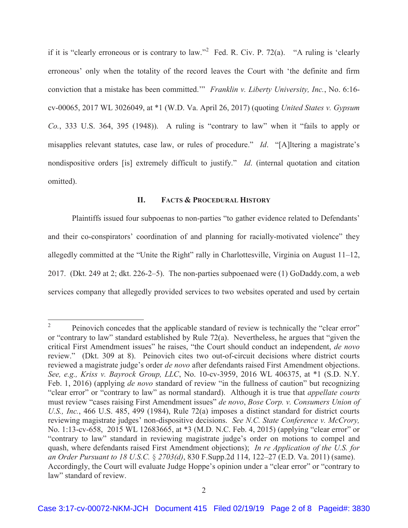if it is "clearly erroneous or is contrary to law."<sup>2</sup> Fed. R. Civ. P. 72(a). "A ruling is 'clearly erroneous' only when the totality of the record leaves the Court with 'the definite and firm conviction that a mistake has been committed.'" *Franklin v. Liberty University, Inc.*, No. 6:16 cv-00065, 2017 WL 3026049, at \*1 (W.D. Va. April 26, 2017) (quoting *United States v. Gypsum Co.*, 333 U.S. 364, 395 (1948)). A ruling is "contrary to law" when it "fails to apply or misapplies relevant statutes, case law, or rules of procedure." *Id*. "[A]ltering a magistrate's nondispositive orders [is] extremely difficult to justify." *Id*. (internal quotation and citation omitted).

## **II. FACTS & PROCEDURAL HISTORY**

 Plaintiffs issued four subpoenas to non-parties "to gather evidence related to Defendants' and their co-conspirators' coordination of and planning for racially-motivated violence" they allegedly committed at the "Unite the Right" rally in Charlottesville, Virginia on August 11–12, 2017. (Dkt. 249 at 2; dkt. 226-2–5). The non-parties subpoenaed were (1) GoDaddy.com, a web services company that allegedly provided services to two websites operated and used by certain

 $\frac{1}{2}$  Peinovich concedes that the applicable standard of review is technically the "clear error" or "contrary to law" standard established by Rule 72(a). Nevertheless, he argues that "given the critical First Amendment issues" he raises, "the Court should conduct an independent, *de novo* review." (Dkt. 309 at 8). Peinovich cites two out-of-circuit decisions where district courts reviewed a magistrate judge's order *de novo* after defendants raised First Amendment objections. *See, e.g., Kriss v. Bayrock Group, LLC*, No. 10-cv-3959, 2016 WL 406375, at \*1 (S.D. N.Y. Feb. 1, 2016) (applying *de novo* standard of review "in the fullness of caution" but recognizing "clear error" or "contrary to law" as normal standard). Although it is true that *appellate courts* must review "cases raising First Amendment issues" *de novo*, *Bose Corp. v. Consumers Union of U.S., Inc.*, 466 U.S. 485, 499 (1984), Rule 72(a) imposes a distinct standard for district courts reviewing magistrate judges' non-dispositive decisions. *See N.C. State Conference v. McCrory,*  No. 1:13-cv-658, 2015 WL 12683665, at \*3 (M.D. N.C. Feb. 4, 2015) (applying "clear error" or "contrary to law" standard in reviewing magistrate judge's order on motions to compel and quash, where defendants raised First Amendment objections); *In re Application of the U.S. for an Order Pursuant to 18 U.S.C.* § *2703(d)*, 830 F.Supp.2d 114, 122–27 (E.D. Va. 2011) (same). Accordingly, the Court will evaluate Judge Hoppe's opinion under a "clear error" or "contrary to law" standard of review.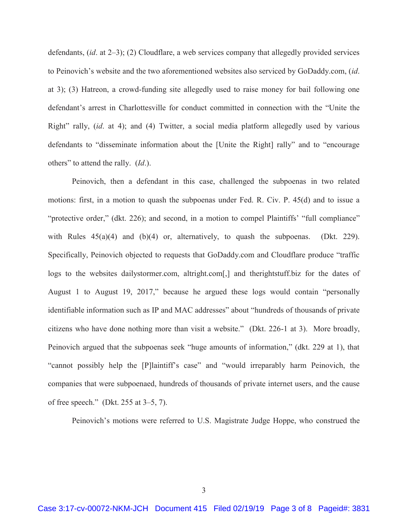defendants, (*id*. at 2–3); (2) Cloudflare, a web services company that allegedly provided services to Peinovich's website and the two aforementioned websites also serviced by GoDaddy.com, (*id*. at 3); (3) Hatreon, a crowd-funding site allegedly used to raise money for bail following one defendant's arrest in Charlottesville for conduct committed in connection with the "Unite the Right" rally, (*id*. at 4); and (4) Twitter, a social media platform allegedly used by various defendants to "disseminate information about the [Unite the Right] rally" and to "encourage others" to attend the rally. (*Id*.).

 Peinovich, then a defendant in this case, challenged the subpoenas in two related motions: first, in a motion to quash the subpoenas under Fed. R. Civ. P. 45(d) and to issue a "protective order," (dkt. 226); and second, in a motion to compel Plaintiffs' "full compliance" with Rules  $45(a)(4)$  and  $(b)(4)$  or, alternatively, to quash the subpoenas. (Dkt. 229). Specifically, Peinovich objected to requests that GoDaddy.com and Cloudflare produce "traffic logs to the websites dailystormer.com, altright.com[,] and therightstuff.biz for the dates of August 1 to August 19, 2017," because he argued these logs would contain "personally identifiable information such as IP and MAC addresses" about "hundreds of thousands of private citizens who have done nothing more than visit a website." (Dkt. 226-1 at 3). More broadly, Peinovich argued that the subpoenas seek "huge amounts of information," (dkt. 229 at 1), that "cannot possibly help the [P]laintiff's case" and "would irreparably harm Peinovich, the companies that were subpoenaed, hundreds of thousands of private internet users, and the cause of free speech." (Dkt. 255 at 3–5, 7).

Peinovich's motions were referred to U.S. Magistrate Judge Hoppe, who construed the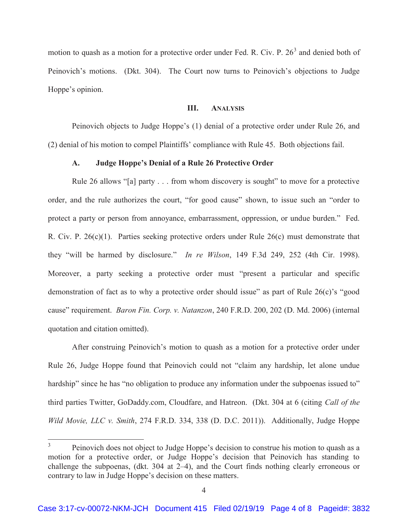motion to quash as a motion for a protective order under Fed. R. Civ. P.  $26<sup>3</sup>$  and denied both of Peinovich's motions. (Dkt. 304). The Court now turns to Peinovich's objections to Judge Hoppe's opinion.

# **III. ANALYSIS**

Peinovich objects to Judge Hoppe's (1) denial of a protective order under Rule 26, and (2) denial of his motion to compel Plaintiffs' compliance with Rule 45. Both objections fail.

# **A. Judge Hoppe's Denial of a Rule 26 Protective Order**

Rule 26 allows "[a] party . . . from whom discovery is sought" to move for a protective order, and the rule authorizes the court, "for good cause" shown, to issue such an "order to protect a party or person from annoyance, embarrassment, oppression, or undue burden." Fed. R. Civ. P. 26(c)(1). Parties seeking protective orders under Rule 26(c) must demonstrate that they "will be harmed by disclosure." *In re Wilson*, 149 F.3d 249, 252 (4th Cir. 1998). Moreover, a party seeking a protective order must "present a particular and specific demonstration of fact as to why a protective order should issue" as part of Rule 26(c)'s "good cause" requirement. *Baron Fin. Corp. v. Natanzon*, 240 F.R.D. 200, 202 (D. Md. 2006) (internal quotation and citation omitted).

 After construing Peinovich's motion to quash as a motion for a protective order under Rule 26, Judge Hoppe found that Peinovich could not "claim any hardship, let alone undue hardship" since he has "no obligation to produce any information under the subpoenas issued to" third parties Twitter, GoDaddy.com, Cloudfare, and Hatreon. (Dkt. 304 at 6 (citing *Call of the Wild Movie, LLC v. Smith*, 274 F.R.D. 334, 338 (D. D.C. 2011)). Additionally, Judge Hoppe

 $\overline{a}$ 

<sup>3</sup> Peinovich does not object to Judge Hoppe's decision to construe his motion to quash as a motion for a protective order, or Judge Hoppe's decision that Peinovich has standing to challenge the subpoenas, (dkt. 304 at 2–4), and the Court finds nothing clearly erroneous or contrary to law in Judge Hoppe's decision on these matters.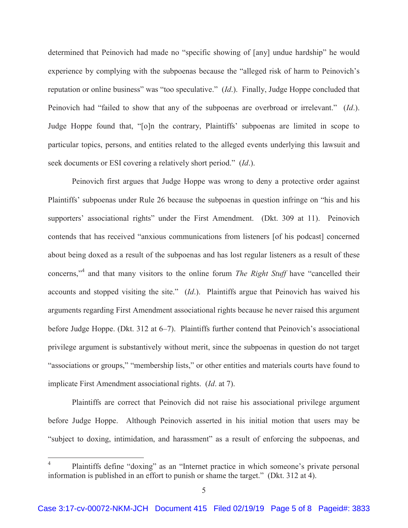determined that Peinovich had made no "specific showing of [any] undue hardship" he would experience by complying with the subpoenas because the "alleged risk of harm to Peinovich's reputation or online business" was "too speculative." (*Id*.). Finally, Judge Hoppe concluded that Peinovich had "failed to show that any of the subpoenas are overbroad or irrelevant." (*Id*.). Judge Hoppe found that, "[o]n the contrary, Plaintiffs' subpoenas are limited in scope to particular topics, persons, and entities related to the alleged events underlying this lawsuit and seek documents or ESI covering a relatively short period." (*Id*.).

 Peinovich first argues that Judge Hoppe was wrong to deny a protective order against Plaintiffs' subpoenas under Rule 26 because the subpoenas in question infringe on "his and his supporters' associational rights" under the First Amendment. (Dkt. 309 at 11). Peinovich contends that has received "anxious communications from listeners [of his podcast] concerned about being doxed as a result of the subpoenas and has lost regular listeners as a result of these concerns,"<sup>4</sup> and that many visitors to the online forum *The Right Stuff* have "cancelled their accounts and stopped visiting the site." (*Id*.). Plaintiffs argue that Peinovich has waived his arguments regarding First Amendment associational rights because he never raised this argument before Judge Hoppe. (Dkt. 312 at 6–7). Plaintiffs further contend that Peinovich's associational privilege argument is substantively without merit, since the subpoenas in question do not target "associations or groups," "membership lists," or other entities and materials courts have found to implicate First Amendment associational rights. (*Id*. at 7).

 Plaintiffs are correct that Peinovich did not raise his associational privilege argument before Judge Hoppe. Although Peinovich asserted in his initial motion that users may be "subject to doxing, intimidation, and harassment" as a result of enforcing the subpoenas, and

 $\overline{a}$ 

<sup>4</sup> Plaintiffs define "doxing" as an "Internet practice in which someone's private personal information is published in an effort to punish or shame the target." (Dkt. 312 at 4).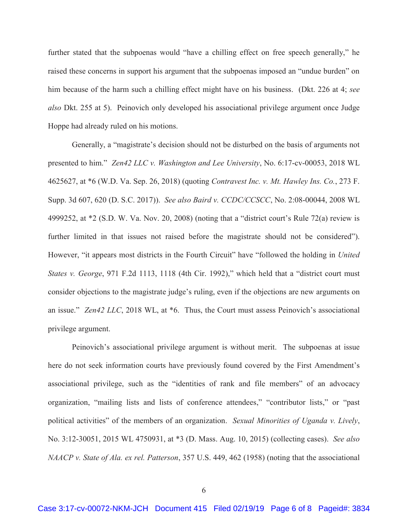further stated that the subpoenas would "have a chilling effect on free speech generally," he raised these concerns in support his argument that the subpoenas imposed an "undue burden" on him because of the harm such a chilling effect might have on his business. (Dkt. 226 at 4; *see also* Dkt. 255 at 5). Peinovich only developed his associational privilege argument once Judge Hoppe had already ruled on his motions.

 Generally, a "magistrate's decision should not be disturbed on the basis of arguments not presented to him." *Zen42 LLC v. Washington and Lee University*, No. 6:17-cv-00053, 2018 WL 4625627, at \*6 (W.D. Va. Sep. 26, 2018) (quoting *Contravest Inc. v. Mt. Hawley Ins. Co.*, 273 F. Supp. 3d 607, 620 (D. S.C. 2017)). *See also Baird v. CCDC/CCSCC*, No. 2:08-00044, 2008 WL 4999252, at \*2 (S.D. W. Va. Nov. 20, 2008) (noting that a "district court's Rule 72(a) review is further limited in that issues not raised before the magistrate should not be considered"). However, "it appears most districts in the Fourth Circuit" have "followed the holding in *United States v. George*, 971 F.2d 1113, 1118 (4th Cir. 1992)," which held that a "district court must consider objections to the magistrate judge's ruling, even if the objections are new arguments on an issue." *Zen42 LLC*, 2018 WL, at \*6. Thus, the Court must assess Peinovich's associational privilege argument.

 Peinovich's associational privilege argument is without merit. The subpoenas at issue here do not seek information courts have previously found covered by the First Amendment's associational privilege, such as the "identities of rank and file members" of an advocacy organization, "mailing lists and lists of conference attendees," "contributor lists," or "past political activities" of the members of an organization. *Sexual Minorities of Uganda v. Lively*, No. 3:12-30051, 2015 WL 4750931, at \*3 (D. Mass. Aug. 10, 2015) (collecting cases). *See also NAACP v. State of Ala. ex rel. Patterson*, 357 U.S. 449, 462 (1958) (noting that the associational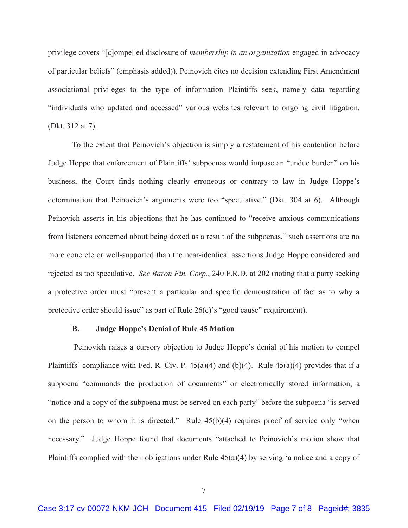privilege covers "[c]ompelled disclosure of *membership in an organization* engaged in advocacy of particular beliefs" (emphasis added)). Peinovich cites no decision extending First Amendment associational privileges to the type of information Plaintiffs seek, namely data regarding "individuals who updated and accessed" various websites relevant to ongoing civil litigation. (Dkt. 312 at 7).

 To the extent that Peinovich's objection is simply a restatement of his contention before Judge Hoppe that enforcement of Plaintiffs' subpoenas would impose an "undue burden" on his business, the Court finds nothing clearly erroneous or contrary to law in Judge Hoppe's determination that Peinovich's arguments were too "speculative." (Dkt. 304 at 6). Although Peinovich asserts in his objections that he has continued to "receive anxious communications from listeners concerned about being doxed as a result of the subpoenas," such assertions are no more concrete or well-supported than the near-identical assertions Judge Hoppe considered and rejected as too speculative. *See Baron Fin. Corp.*, 240 F.R.D. at 202 (noting that a party seeking a protective order must "present a particular and specific demonstration of fact as to why a protective order should issue" as part of Rule 26(c)'s "good cause" requirement).

# **B. Judge Hoppe's Denial of Rule 45 Motion**

 Peinovich raises a cursory objection to Judge Hoppe's denial of his motion to compel Plaintiffs' compliance with Fed. R. Civ. P.  $45(a)(4)$  and  $(b)(4)$ . Rule  $45(a)(4)$  provides that if a subpoena "commands the production of documents" or electronically stored information, a "notice and a copy of the subpoena must be served on each party" before the subpoena "is served on the person to whom it is directed." Rule 45(b)(4) requires proof of service only "when necessary." Judge Hoppe found that documents "attached to Peinovich's motion show that Plaintiffs complied with their obligations under Rule 45(a)(4) by serving 'a notice and a copy of